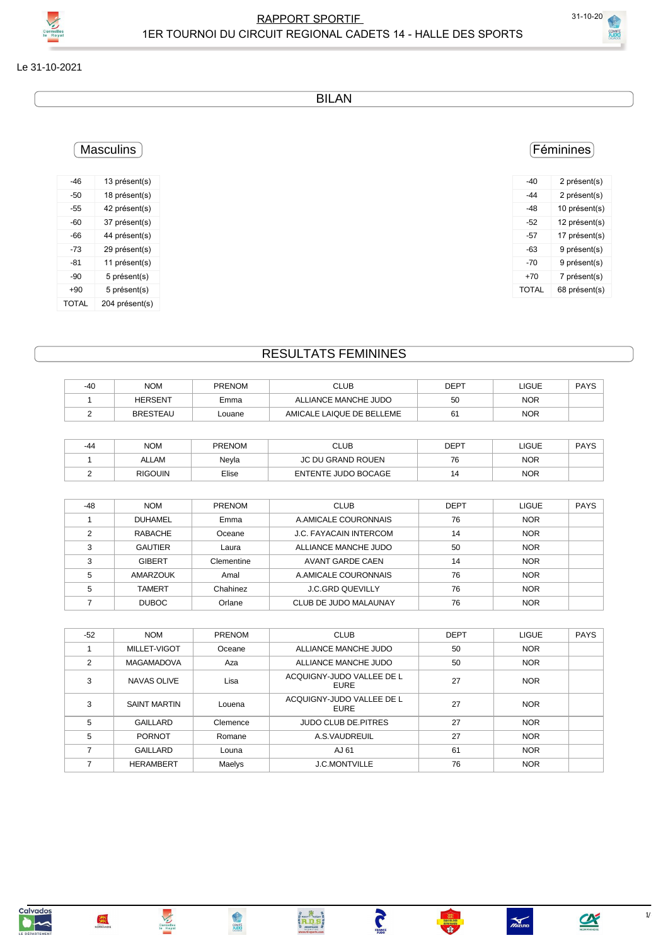COMIT

Le 31-10-2021

BILAN

# Féminines

| -40   | 2 présent(s)  |
|-------|---------------|
| -44   | 2 présent(s)  |
| -48   | 10 présent(s) |
| -52   | 12 présent(s) |
| -57   | 17 présent(s) |
| -63   | 9 présent(s)  |
| -70   | 9 présent(s)  |
| +70   | 7 présent(s)  |
| TOTAL | 68 présent(s) |
|       |               |

# **Masculins**

| -46   | 13 présent(s)  |
|-------|----------------|
| -50   | 18 présent(s)  |
| -55   | 42 présent(s)  |
| -60   | 37 présent(s)  |
| -66   | 44 présent(s)  |
| -73   | 29 présent(s)  |
| -81   | 11 présent(s)  |
| -90   | 5 présent(s)   |
| +90   | 5 présent(s)   |
| TOTAL | 204 présent(s) |

# RESULTATS FEMININES

| -40 | <b>NOM</b>      | <b>PRENOM</b> | <b>CLUB</b>               | DEPT | LIGUE      | <b>PAYS</b> |
|-----|-----------------|---------------|---------------------------|------|------------|-------------|
|     | <b>HERSENT</b>  | Emma          | ALLIANCE MANCHE JUDO      | 50   | <b>NOR</b> |             |
|     | <b>BRESTEAU</b> | Louane        | AMICALE LAIQUE DE BELLEME | 61   | <b>NOR</b> |             |

| -44 | <b>NOM</b>     | <b>PRENOM</b> | CLUB                | <b>DEPT</b> | <b>LIGUE</b> | <b>PAYS</b> |
|-----|----------------|---------------|---------------------|-------------|--------------|-------------|
|     | <b>ALLAM</b>   | Nevla         | JC DU GRAND ROUEN   | 76          | <b>NOR</b>   |             |
|     | <b>RIGOUIN</b> | Elise         | ENTENTE JUDO BOCAGE |             | <b>NOR</b>   |             |

| $-48$ | <b>NOM</b>     | <b>PRENOM</b> | <b>CLUB</b>                   | <b>DEPT</b> | <b>LIGUE</b> | <b>PAYS</b> |
|-------|----------------|---------------|-------------------------------|-------------|--------------|-------------|
|       | <b>DUHAMEL</b> | Emma          | A AMICALE COURONNAIS          | 76          | <b>NOR</b>   |             |
| ◠     | RABACHE        | Oceane        | <b>J.C. FAYACAIN INTERCOM</b> | 14          | <b>NOR</b>   |             |
| З     | <b>GAUTIER</b> | Laura         | ALLIANCE MANCHE JUDO          | 50          | <b>NOR</b>   |             |
| 3     | <b>GIBERT</b>  | Clementine    | AVANT GARDE CAEN              | 14          | <b>NOR</b>   |             |
| 5     | AMARZOUK       | Amal          | A AMICALE COURONNAIS          | 76          | <b>NOR</b>   |             |
|       | <b>TAMERT</b>  | Chahinez      | <b>J.C.GRD QUEVILLY</b>       | 76          | <b>NOR</b>   |             |
|       | <b>DUBOC</b>   | Orlane        | CLUB DE JUDO MALAUNAY         | 76          | <b>NOR</b>   |             |

| $-52$ | <b>NOM</b>          | PRENOM   | <b>CLUB</b>                       | <b>DEPT</b> | <b>LIGUE</b> | <b>PAYS</b> |
|-------|---------------------|----------|-----------------------------------|-------------|--------------|-------------|
|       | MILLET-VIGOT        | Oceane   | ALLIANCE MANCHE JUDO              | 50          | <b>NOR</b>   |             |
| 2     | <b>MAGAMADOVA</b>   | Aza      | ALLIANCE MANCHE JUDO              | 50          | <b>NOR</b>   |             |
| 3     | NAVAS OLIVE         | Lisa     | ACQUIGNY-JUDO VALLEE DE L<br>EURE | 27          | <b>NOR</b>   |             |
| 3     | <b>SAINT MARTIN</b> | Louena   | ACQUIGNY-JUDO VALLEE DE L<br>EURE | 27          | <b>NOR</b>   |             |
| 5     | <b>GAILLARD</b>     | Clemence | <b>JUDO CLUB DE PITRES</b>        | 27          | <b>NOR</b>   |             |
| 5     | <b>PORNOT</b>       | Romane   | A.S.VAUDREUIL                     | 27          | <b>NOR</b>   |             |
|       | <b>GAILLARD</b>     | Louna    | AJ 61                             | 61          | <b>NOR</b>   |             |
|       | <b>HERAMBERT</b>    | Maelys   | <b>J.C.MONTVILLE</b>              | 76          | <b>NOR</b>   |             |

Anthensis

Cormelles<br>Le Royal

NORMANDIE

**PANCE** 



 $\sum_{\text{NORMANDE}}$ 

 $\sum_{\text{ZiZuno}}$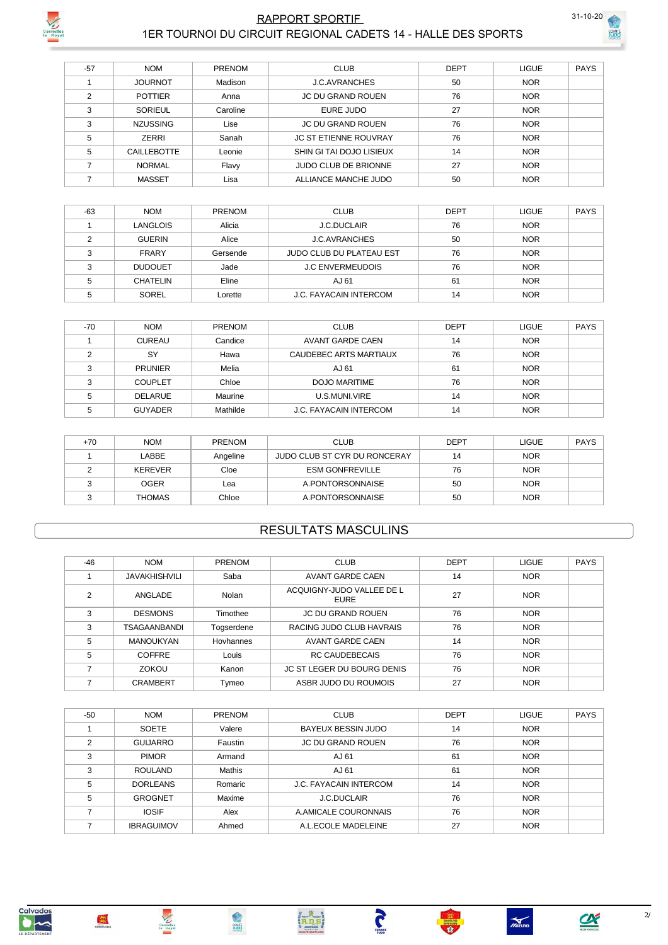

### RAPPORT SPORTIF 31-10-20 1ER TOURNOI DU CIRCUIT REGIONAL CADETS 14 - HALLE DES SPORTS



**SOMITÉ** 

| $-57$          | <b>NOM</b>         | <b>PRENOM</b> | <b>CLUB</b>                  | <b>DEPT</b> | <b>LIGUE</b> | <b>PAYS</b> |
|----------------|--------------------|---------------|------------------------------|-------------|--------------|-------------|
|                | <b>JOURNOT</b>     | Madison       | <b>J.C. AVRANCHES</b>        | 50          | <b>NOR</b>   |             |
| $\mathfrak{p}$ | <b>POTTIER</b>     | Anna          | <b>JC DU GRAND ROUEN</b>     | 76          | <b>NOR</b>   |             |
| 3              | SORIEUL            | Caroline      | EURE JUDO                    | 27          | <b>NOR</b>   |             |
| 3              | <b>NZUSSING</b>    | Lise          | <b>JC DU GRAND ROUEN</b>     | 76          | <b>NOR</b>   |             |
| 5              | <b>ZERRI</b>       | Sanah         | <b>JC ST ETIENNE ROUVRAY</b> | 76          | <b>NOR</b>   |             |
| 5              | <b>CAILLEBOTTE</b> | Leonie        | SHIN GI TAI DOJO LISIEUX     | 14          | <b>NOR</b>   |             |
|                | <b>NORMAL</b>      | Flavy         | <b>JUDO CLUB DE BRIONNE</b>  | 27          | <b>NOR</b>   |             |
|                | <b>MASSET</b>      | Lisa          | ALLIANCE MANCHE JUDO         | 50          | <b>NOR</b>   |             |

| $-63$  | <b>NOM</b>      | <b>PRENOM</b> | <b>CLUB</b>                   | <b>DEPT</b> | <b>LIGUE</b> | <b>PAYS</b> |
|--------|-----------------|---------------|-------------------------------|-------------|--------------|-------------|
|        | LANGLOIS        | Alicia        | <b>J.C.DUCLAIR</b>            | 76          | <b>NOR</b>   |             |
|        | <b>GUERIN</b>   | Alice         | <b>J.C. AVRANCHES</b>         | 50          | <b>NOR</b>   |             |
|        | <b>FRARY</b>    | Gersende      | JUDO CLUB DU PLATEAU EST      | 76          | <b>NOR</b>   |             |
| $\sim$ | <b>DUDOUET</b>  | Jade          | <b>J.C ENVERMEUDOIS</b>       | 76          | <b>NOR</b>   |             |
|        | <b>CHATELIN</b> | Eline         | AJ 61                         | 61          | <b>NOR</b>   |             |
|        | SOREL           | Lorette       | <b>J.C. FAYACAIN INTERCOM</b> | 14          | <b>NOR</b>   |             |

| $-70$ | <b>NOM</b>     | <b>PRENOM</b> | <b>CLUB</b>                   | <b>DEPT</b> | <b>LIGUE</b> | <b>PAYS</b> |
|-------|----------------|---------------|-------------------------------|-------------|--------------|-------------|
|       | <b>CUREAU</b>  | Candice       | AVANT GARDE CAEN              | 14          | <b>NOR</b>   |             |
|       | SY             | Hawa          | CAUDEBEC ARTS MARTIAUX        | 76          | <b>NOR</b>   |             |
| ົ     | <b>PRUNIER</b> | Melia         | AJ 61                         | 61          | <b>NOR</b>   |             |
| ◠     | <b>COUPLET</b> | Chloe         | DOJO MARITIME                 | 76          | <b>NOR</b>   |             |
|       | <b>DELARUE</b> | Maurine       | U.S.MUNI.VIRE                 | 14          | <b>NOR</b>   |             |
|       | <b>GUYADER</b> | Mathilde      | <b>J.C. FAYACAIN INTERCOM</b> | 14          | <b>NOR</b>   |             |

| $+70$ | <b>NOM</b>    | <b>PRENOM</b> | <b>CLUB</b>                  | <b>DEPT</b> | <b>LIGUE</b> | <b>PAYS</b> |
|-------|---------------|---------------|------------------------------|-------------|--------------|-------------|
|       | ABBE          | Angeline      | JUDO CLUB ST CYR DU RONCERAY | 14          | <b>NOR</b>   |             |
|       | KEREVER       | Cloe          | <b>ESM GONFREVILLE</b>       | 76          | <b>NOR</b>   |             |
|       | <b>OGER</b>   | Lea           | A PONTORSONNAISE             | 50          | <b>NOR</b>   |             |
|       | <b>THOMAS</b> | Chloe         | A PONTORSONNAISE             | 50          | <b>NOR</b>   |             |

#### RESULTATS MASCULINS

| $-46$ | <b>NOM</b>           | PRENOM     | <b>CLUB</b>                              | <b>DEPT</b> | <b>LIGUE</b> | <b>PAYS</b> |
|-------|----------------------|------------|------------------------------------------|-------------|--------------|-------------|
|       | <b>JAVAKHISHVILI</b> | Saba       | <b>AVANT GARDE CAEN</b>                  | 14          | <b>NOR</b>   |             |
| 2     | ANGLADE              | Nolan      | ACQUIGNY-JUDO VALLEE DE L<br><b>EURE</b> | 27          | <b>NOR</b>   |             |
| 3     | <b>DESMONS</b>       | Timothee   | <b>JC DU GRAND ROUEN</b>                 | 76          | <b>NOR</b>   |             |
| 3     | <b>TSAGAANBANDI</b>  | Togserdene | RACING JUDO CLUB HAVRAIS                 | 76          | <b>NOR</b>   |             |
| 5     | <b>MANOUKYAN</b>     | Hovhannes  | AVANT GARDE CAEN                         | 14          | <b>NOR</b>   |             |
| 5     | <b>COFFRE</b>        | Louis      | <b>RC CAUDEBECAIS</b>                    | 76          | <b>NOR</b>   |             |
|       | ZOKOU                | Kanon      | <b>JC ST LEGER DU BOURG DENIS</b>        | 76          | <b>NOR</b>   |             |
|       | <b>CRAMBERT</b>      | Tymeo      | ASBR JUDO DU ROUMOIS                     | 27          | <b>NOR</b>   |             |

| $-50$ | <b>NOM</b>        | <b>PRENOM</b> | <b>CLUB</b>                   | <b>DEPT</b> | LIGUE      | <b>PAYS</b> |
|-------|-------------------|---------------|-------------------------------|-------------|------------|-------------|
|       | <b>SOETE</b>      | Valere        | BAYEUX BESSIN JUDO            | 14          | <b>NOR</b> |             |
| 2     | <b>GUIJARRO</b>   | Faustin       | <b>JC DU GRAND ROUEN</b>      | 76          | <b>NOR</b> |             |
| 3     | <b>PIMOR</b>      | Armand        | AJ 61                         | 61          | <b>NOR</b> |             |
| 3     | <b>ROULAND</b>    | Mathis        | AJ 61                         | 61          | <b>NOR</b> |             |
| 5     | <b>DORLEANS</b>   | Romaric       | <b>J.C. FAYACAIN INTERCOM</b> | 14          | <b>NOR</b> |             |
| 5     | <b>GROGNET</b>    | Maxime        | <b>J.C.DUCLAIR</b>            | 76          | <b>NOR</b> |             |
|       | <b>IOSIF</b>      | Alex          | A AMICALE COURONNAIS          | 76          | <b>NOR</b> |             |
|       | <b>IBRAGUIMOV</b> | Ahmed         | A.L.ECOLE MADELEINE           | 27          | <b>NOR</b> |             |



Cormelles<br>In Royal





**TRANGE** 



 $\sum_{n \geq 0}$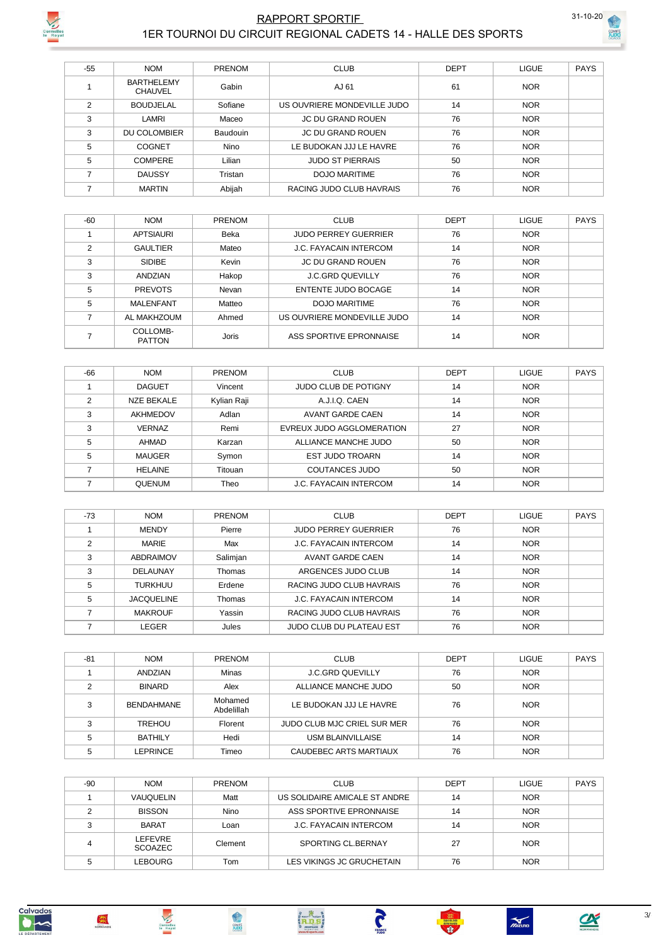

### RAPPORT SPORTIF 31-10-20 1ER TOURNOI DU CIRCUIT REGIONAL CADETS 14 - HALLE DES SPORTS



**COMITÉ** 

| $-55$ | <b>NOM</b>                          | <b>PRENOM</b> | <b>CLUB</b>                 | <b>DEPT</b> | LIGUE      | <b>PAYS</b> |
|-------|-------------------------------------|---------------|-----------------------------|-------------|------------|-------------|
|       | <b>BARTHELEMY</b><br><b>CHAUVEL</b> | Gabin         | AJ 61                       | 61          | <b>NOR</b> |             |
| 2     | <b>BOUDJELAL</b>                    | Sofiane       | US OUVRIERE MONDEVILLE JUDO | 14          | <b>NOR</b> |             |
| 3     | LAMRI                               | Maceo         | <b>JC DU GRAND ROUEN</b>    | 76          | <b>NOR</b> |             |
| 3     | DU COLOMBIER                        | Baudouin      | <b>JC DU GRAND ROUEN</b>    | 76          | <b>NOR</b> |             |
| 5     | COGNET                              | <b>Nino</b>   | LE BUDOKAN JJJ LE HAVRE     | 76          | <b>NOR</b> |             |
| 5     | <b>COMPERE</b>                      | Lilian        | <b>JUDO ST PIERRAIS</b>     | 50          | <b>NOR</b> |             |
|       | <b>DAUSSY</b>                       | Tristan       | DOJO MARITIME               | 76          | <b>NOR</b> |             |
|       | <b>MARTIN</b>                       | Abijah        | RACING JUDO CLUB HAVRAIS    | 76          | <b>NOR</b> |             |

| $-60$          | <b>NOM</b>                | <b>PRENOM</b> | <b>CLUB</b>                   | <b>DEPT</b> | <b>LIGUE</b> | <b>PAYS</b> |
|----------------|---------------------------|---------------|-------------------------------|-------------|--------------|-------------|
|                | <b>APTSIAURI</b>          | Beka          | <b>JUDO PERREY GUERRIER</b>   | 76          | <b>NOR</b>   |             |
| $\mathfrak{p}$ | <b>GAULTIER</b>           | Mateo         | <b>J.C. FAYACAIN INTERCOM</b> | 14          | <b>NOR</b>   |             |
| 3              | <b>SIDIBE</b>             | Kevin         | <b>JC DU GRAND ROUEN</b>      | 76          | <b>NOR</b>   |             |
| 3              | ANDZIAN                   | Hakop         | <b>J.C.GRD QUEVILLY</b>       | 76          | <b>NOR</b>   |             |
| 5              | <b>PREVOTS</b>            | Nevan         | ENTENTE JUDO BOCAGE           | 14          | <b>NOR</b>   |             |
| 5              | <b>MALENFANT</b>          | Matteo        | <b>DOJO MARITIME</b>          | 76          | <b>NOR</b>   |             |
|                | AL MAKHZOUM               | Ahmed         | US OUVRIERE MONDEVILLE JUDO   | 14          | <b>NOR</b>   |             |
|                | COLLOMB-<br><b>PATTON</b> | <b>Joris</b>  | ASS SPORTIVE EPRONNAISE       | 14          | <b>NOR</b>   |             |

| $-66$ | <b>NOM</b>        | <b>PRENOM</b> | <b>CLUB</b>                   | <b>DEPT</b> | <b>LIGUE</b> | <b>PAYS</b> |
|-------|-------------------|---------------|-------------------------------|-------------|--------------|-------------|
|       | <b>DAGUET</b>     | Vincent       | <b>JUDO CLUB DE POTIGNY</b>   | 14          | <b>NOR</b>   |             |
| 2     | <b>NZE BEKALE</b> | Kylian Raji   | A.J.I.Q. CAEN                 | 14          | <b>NOR</b>   |             |
| 3     | AKHMEDOV          | Adlan         | AVANT GARDE CAEN              | 14          | <b>NOR</b>   |             |
| 3     | <b>VERNAZ</b>     | Remi          | EVREUX JUDO AGGLOMERATION     | 27          | <b>NOR</b>   |             |
| 5     | AHMAD             | Karzan        | ALLIANCE MANCHE JUDO          | 50          | <b>NOR</b>   |             |
| 5     | <b>MAUGER</b>     | Symon         | <b>EST JUDO TROARN</b>        | 14          | <b>NOR</b>   |             |
|       | <b>HELAINE</b>    | Titouan       | COUTANCES JUDO                | 50          | <b>NOR</b>   |             |
|       | <b>QUENUM</b>     | Theo          | <b>J.C. FAYACAIN INTERCOM</b> | 14          | <b>NOR</b>   |             |

| $-73$ | <b>NOM</b>        | <b>PRENOM</b> | <b>CLUB</b>                   | <b>DEPT</b> | <b>LIGUE</b> | <b>PAYS</b> |
|-------|-------------------|---------------|-------------------------------|-------------|--------------|-------------|
|       | <b>MENDY</b>      | Pierre        | <b>JUDO PERREY GUERRIER</b>   | 76          | <b>NOR</b>   |             |
| C     | <b>MARIE</b>      | Max           | <b>J.C. FAYACAIN INTERCOM</b> | 14          | <b>NOR</b>   |             |
| 3     | ABDRAIMOV         | Salimjan      | AVANT GARDE CAEN              | 14          | <b>NOR</b>   |             |
| 3     | DELAUNAY          | Thomas        | ARGENCES JUDO CLUB            | 14          | <b>NOR</b>   |             |
| 5     | <b>TURKHUU</b>    | Erdene        | RACING JUDO CLUB HAVRAIS      | 76          | <b>NOR</b>   |             |
| 5     | <b>JACQUELINE</b> | Thomas        | <b>J.C. FAYACAIN INTERCOM</b> | 14          | <b>NOR</b>   |             |
|       | <b>MAKROUF</b>    | Yassin        | RACING JUDO CLUB HAVRAIS      | 76          | <b>NOR</b>   |             |
|       | LEGER             | Jules         | JUDO CLUB DU PLATEAU EST      | 76          | <b>NOR</b>   |             |

| $-81$ | <b>NOM</b>        | <b>PRENOM</b>         | <b>CLUB</b>                 | <b>DEPT</b> | LIGUE      | <b>PAYS</b> |
|-------|-------------------|-----------------------|-----------------------------|-------------|------------|-------------|
|       | ANDZIAN           | Minas                 | <b>J.C.GRD QUEVILLY</b>     | 76          | <b>NOR</b> |             |
|       | <b>BINARD</b>     | Alex                  | ALLIANCE MANCHE JUDO        | 50          | <b>NOR</b> |             |
| ◠     | <b>BENDAHMANE</b> | Mohamed<br>Abdelillah | LE BUDOKAN JJJ LE HAVRE     | 76          | <b>NOR</b> |             |
|       | <b>TREHOU</b>     | Florent               | JUDO CLUB MJC CRIEL SUR MER | 76          | <b>NOR</b> |             |
|       | <b>BATHILY</b>    | Hedi                  | USM BLAINVILLAISE           | 14          | <b>NOR</b> |             |
|       | LEPRINCE          | Timeo                 | CAUDEBEC ARTS MARTIAUX      | 76          | <b>NOR</b> |             |

| $-90$ | <b>NOM</b>         | PRENOM  | <b>CLUB</b>                   | <b>DEPT</b> | LIGUE      | <b>PAYS</b> |
|-------|--------------------|---------|-------------------------------|-------------|------------|-------------|
|       | VAUQUELIN          | Matt    | US SOLIDAIRE AMICALE ST ANDRE | 14          | <b>NOR</b> |             |
|       | <b>BISSON</b>      | Nino    | ASS SPORTIVE EPRONNAISE       | 14          | <b>NOR</b> |             |
|       | <b>BARAT</b>       | Loan    | J.C. FAYACAIN INTERCOM        | 14          | <b>NOR</b> |             |
|       | LEFEVRE<br>SCOAZEC | Clement | SPORTING CL.BERNAY            | 27          | <b>NOR</b> |             |
|       | LEBOURG            | Tom     | LES VIKINGS JC GRUCHETAIN     | 76          | <b>NOR</b> |             |



Cormelles<br>Ie Royal







 $\frac{1}{\sqrt{2}}$